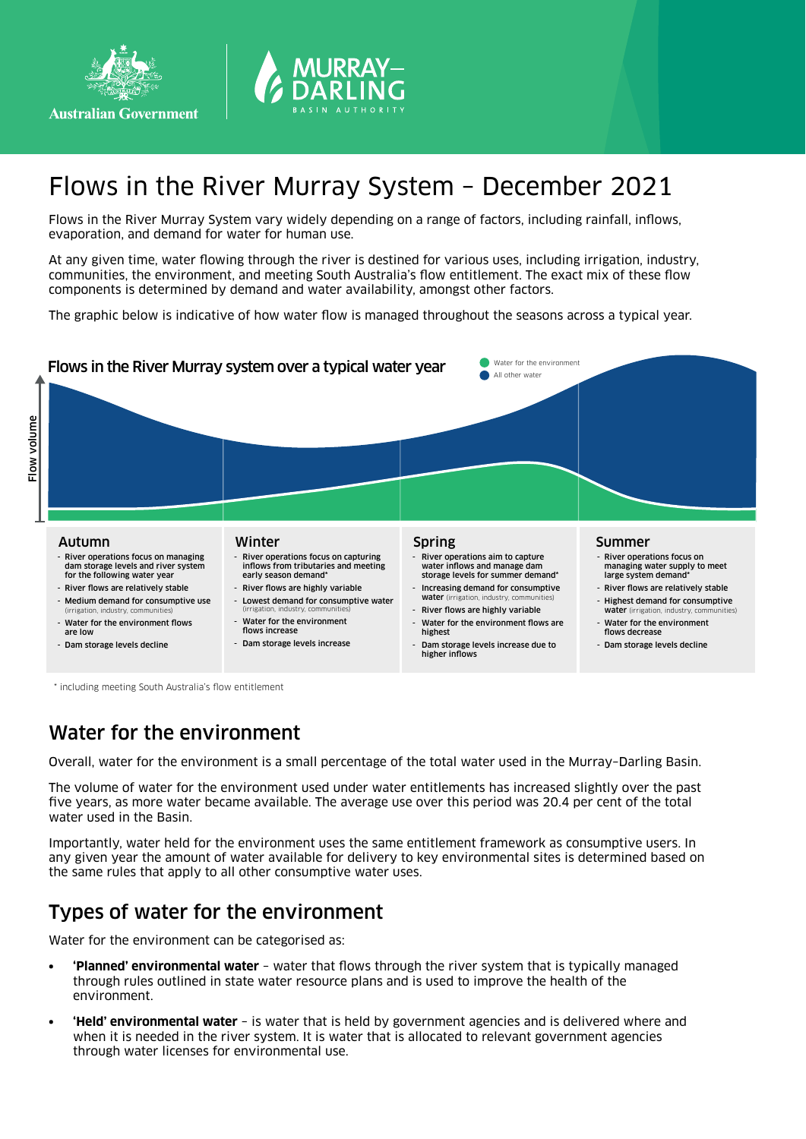



# Flows in the River Murray System – December 2021

Flows in the River Murray System vary widely depending on a range of factors, including rainfall, inflows, evaporation, and demand for water for human use.

At any given time, water flowing through the river is destined for various uses, including irrigation, industry, communities, the environment, and meeting South Australia's flow entitlement. The exact mix of these flow components is determined by demand and water availability, amongst other factors.

The graphic below is indicative of how water flow is managed throughout the seasons across a typical year.



\* including meeting South Australia's flow entitlement

## Water for the environment

Overall, water for the environment is a small percentage of the total water used in the Murray–Darling Basin.

The volume of water for the environment used under water entitlements has increased slightly over the past five years, as more water became available. The average use over this period was 20.4 per cent of the total water used in the Basin.

Importantly, water held for the environment uses the same entitlement framework as consumptive users. In any given year the amount of water available for delivery to key environmental sites is determined based on the same rules that apply to all other consumptive water uses.

## Types of water for the environment

Water for the environment can be categorised as:

- **• 'Planned' environmental water** water that flows through the river system that is typically managed through rules outlined in state water resource plans and is used to improve the health of the environment.
- **• 'Held' environmental water** is water that is held by government agencies and is delivered where and when it is needed in the river system. It is water that is allocated to relevant government agencies through water licenses for environmental use.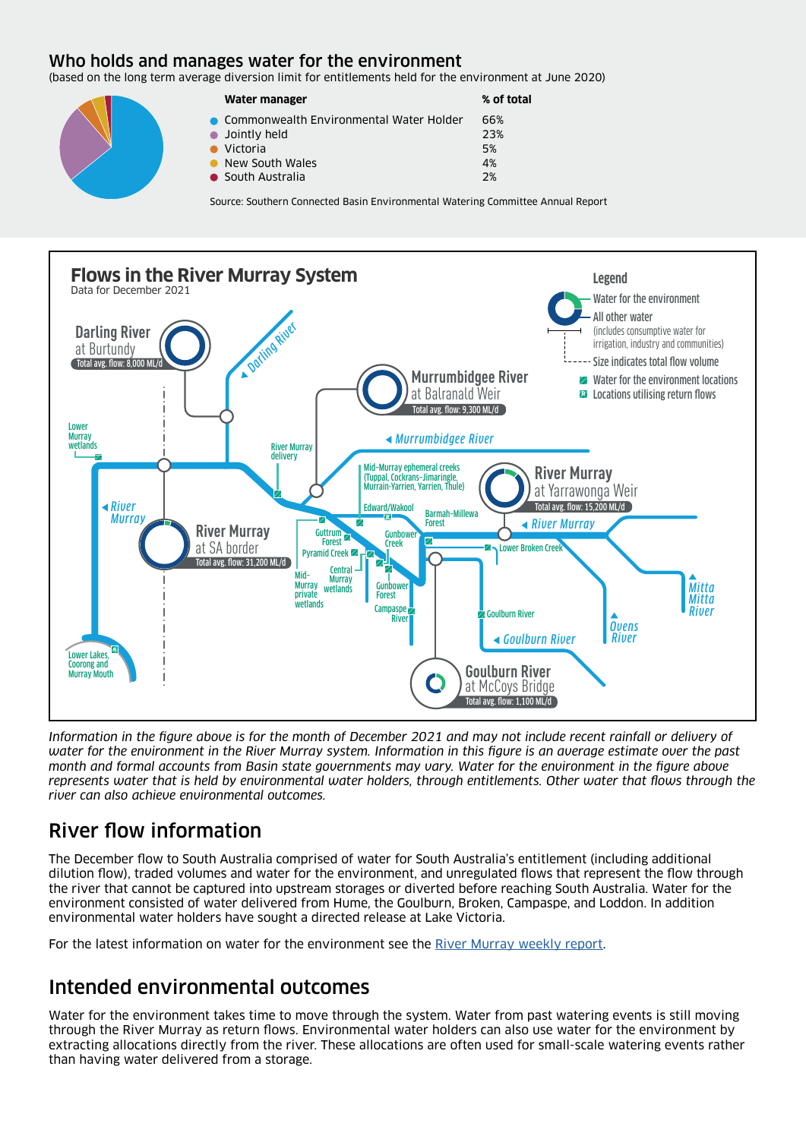#### Who holds and manages water for the environment

(based on the long term average diversion limit for entitlements held for the environment at June 2020)

| Water manager                             | % of total |
|-------------------------------------------|------------|
| • Commonwealth Environmental Water Holder | 66%        |
| $\bullet$ Jointly held                    | 23%        |
| $\bullet$ Victoria                        | .5%        |
| New South Wales                           | 4%         |
| • South Australia                         | 2%         |

Source: Southern Connected Basin Environmental Watering Committee Annual Report



*Information in the figure above is for the month of December 2021 and may not include recent rainfall or delivery of water for the environment in the River Murray system. Information in this figure is an average estimate over the past month and formal accounts from Basin state governments may vary. Water for the environment in the figure above represents water that is held by environmental water holders, through entitlements. Other water that flows through the river can also achieve environmental outcomes.*

# River flow information

The December flow to South Australia comprised of water for South Australia's entitlement (including additional dilution flow), traded volumes and water for the environment, and unregulated flows that represent the flow through the river that cannot be captured into upstream storages or diverted before reaching South Australia. Water for the environment consisted of water delivered from Hume, the Goulburn, Broken, Campaspe, and Loddon. In addition environmental water holders have sought a directed release at Lake Victoria.

For the latest information on water for the environment see the [River Murray weekly report](https://www.mdba.gov.au/water-management/regular-reports-murray-data-storages/weekly-reports).

# Intended environmental outcomes

Water for the environment takes time to move through the system. Water from past watering events is still moving through the River Murray as return flows. Environmental water holders can also use water for the environment by extracting allocations directly from the river. These allocations are often used for small-scale watering events rather than having water delivered from a storage.